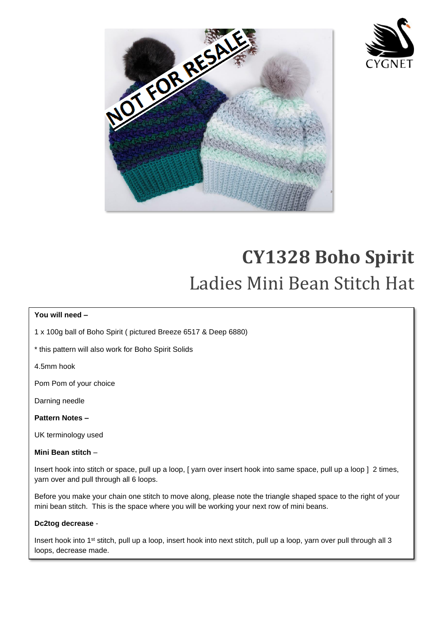

I

I

I

I

I

I

I

I

I



# **CY1328 Boho Spirit**  Ladies Mini Bean Stitch Hat

### **You will need –**

1 x 100g ball of Boho Spirit ( pictured Breeze 6517 & Deep 6880)

\* this pattern will also work for Boho Spirit Solids

4.5mm hook

Pom Pom of your choice

Darning needle

**Pattern Notes –**

UK terminology used

### **Mini Bean stitch** –

Insert hook into stitch or space, pull up a loop, [ yarn over insert hook into same space, pull up a loop ] 2 times, yarn over and pull through all 6 loops.

Before you make your chain one stitch to move along, please note the triangle shaped space to the right of your mini bean stitch. This is the space where you will be working your next row of mini beans.

#### **Dc2tog decrease** -

i,

Insert hook into 1st stitch, pull up a loop, insert hook into next stitch, pull up a loop, yarn over pull through all 3 loops, decrease made.